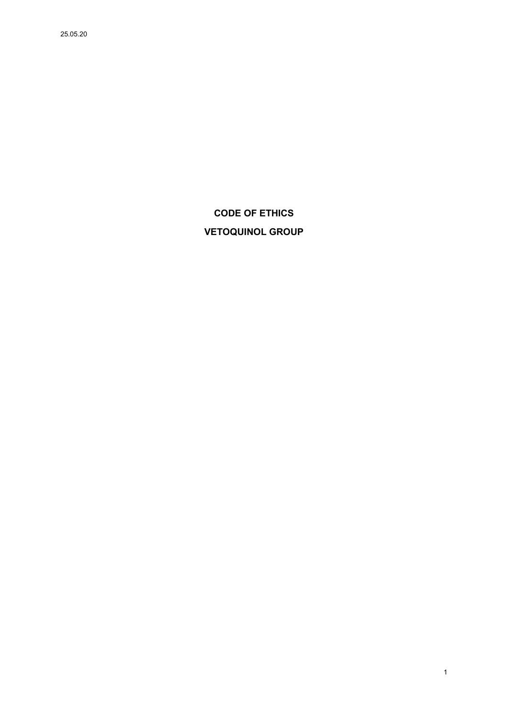**CODE OF ETHICS VETOQUINOL GROUP**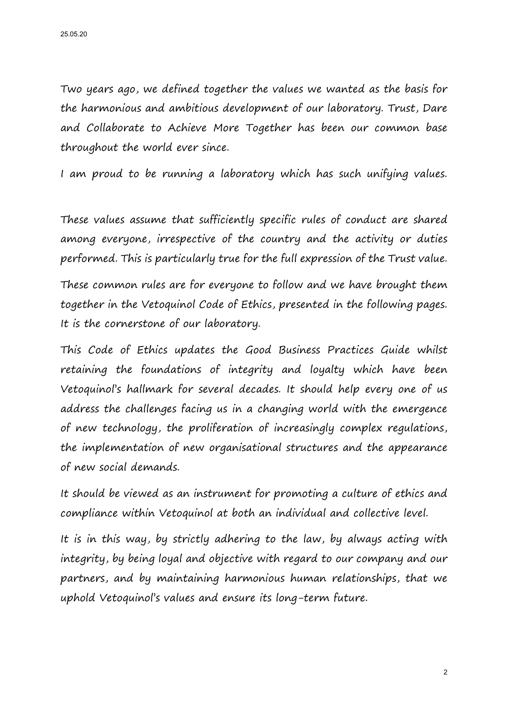Two years ago, we defined together the values we wanted as the basis for the harmonious and ambitious development of our laboratory. Trust, Dare and Collaborate to Achieve More Together has been our common base throughout the world ever since.

I am proud to be running a laboratory which has such unifying values.

These values assume that sufficiently specific rules of conduct are shared among everyone, irrespective of the country and the activity or duties performed. This is particularly true for the full expression of the Trust value.

These common rules are for everyone to follow and we have brought them together in the Vetoquinol Code of Ethics, presented in the following pages. It is the cornerstone of our laboratory.

This Code of Ethics updates the Good Business Practices Guide whilst retaining the foundations of integrity and loyalty which have been Vetoquinol's hallmark for several decades. It should help every one of us address the challenges facing us in a changing world with the emergence of new technology, the proliferation of increasingly complex regulations, the implementation of new organisational structures and the appearance of new social demands.

It should be viewed as an instrument for promoting a culture of ethics and compliance within Vetoquinol at both an individual and collective level.

It is in this way, by strictly adhering to the law, by always acting with integrity, by being loyal and objective with regard to our company and our partners, and by maintaining harmonious human relationships, that we uphold Vetoquinol's values and ensure its long-term future.

2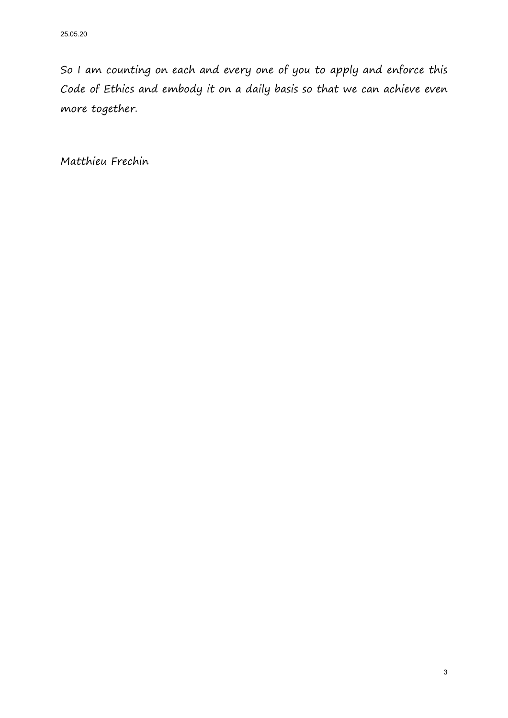So I am counting on each and every one of you to apply and enforce this Code of Ethics and embody it on a daily basis so that we can achieve even more together.

Matthieu Frechin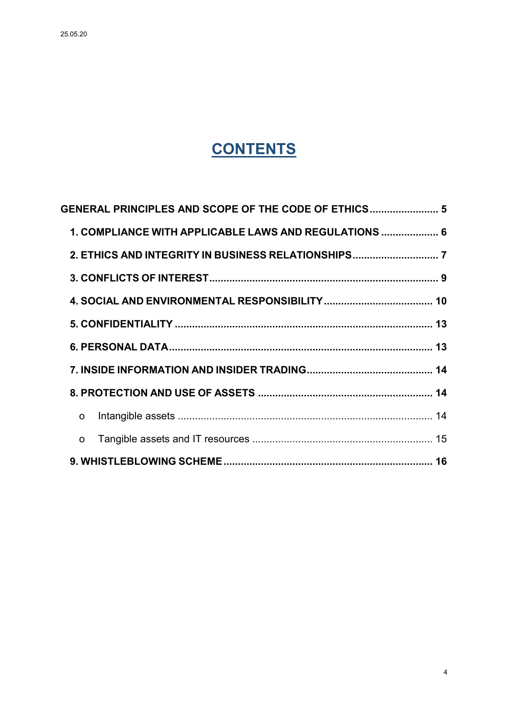# **CONTENTS**

| GENERAL PRINCIPLES AND SCOPE OF THE CODE OF ETHICS 5  |
|-------------------------------------------------------|
| 1. COMPLIANCE WITH APPLICABLE LAWS AND REGULATIONS  6 |
|                                                       |
|                                                       |
|                                                       |
|                                                       |
|                                                       |
|                                                       |
|                                                       |
|                                                       |
|                                                       |
|                                                       |
|                                                       |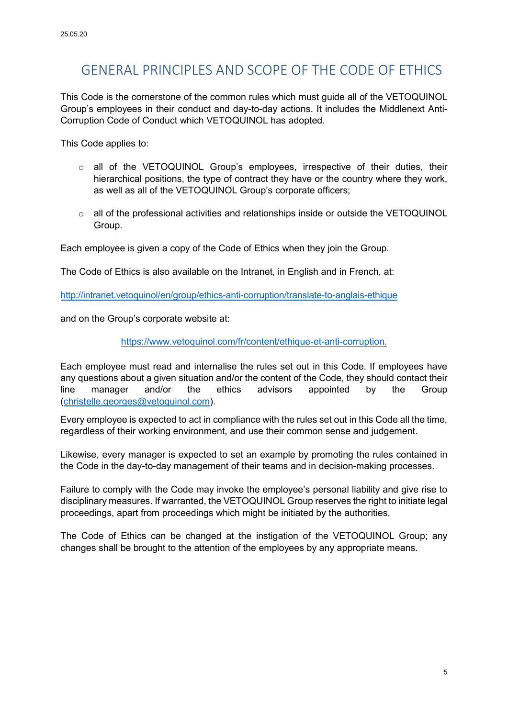# <span id="page-4-0"></span>GENERAL PRINCIPLES AND SCOPE OF THE CODE OF ETHICS

This Code is the cornerstone of the common rules which must guide all of the VETOQUINOL Group's employees in their conduct and day-to-day actions. It includes the Middlenext Anti-Corruption Code of Conduct which VETOQUINOL has adopted.

This Code applies to:

- o all of the VETOQUINOL Group's employees, irrespective of their duties, their hierarchical positions, the type of contract they have or the country where they work, as well as all of the VETOQUINOL Group's corporate officers;
- $\circ$  all of the professional activities and relationships inside or outside the VETOQUINOL Group.

Each employee is given a copy of the Code of Ethics when they join the Group.

The Code of Ethics is also available on the Intranet, in English and in French, at:

<http://intranet.vetoquinol/en/group/ethics-anti-corruption/translate-to-anglais-ethique>

and on the Group's corporate website at:

<https://www.vetoquinol.com/fr/content/ethique-et-anti-corruption>.

Each employee must read and internalise the rules set out in this Code. If employees have any questions about a given situation and/or the content of the Code, they should contact their line manager and/or the ethics advisors appointed by the Group [\(christelle.georges@vetoquinol.com\)](mailto:christelle.georges@vetoquinol.com).

Every employee is expected to act in compliance with the rules set out in this Code all the time, regardless of their working environment, and use their common sense and judgement.

Likewise, every manager is expected to set an example by promoting the rules contained in the Code in the day-to-day management of their teams and in decision-making processes.

Failure to comply with the Code may invoke the employee's personal liability and give rise to disciplinary measures. If warranted, the VETOQUINOL Group reserves the right to initiate legal proceedings, apart from proceedings which might be initiated by the authorities.

The Code of Ethics can be changed at the instigation of the VETOQUINOL Group; any changes shall be brought to the attention of the employees by any appropriate means.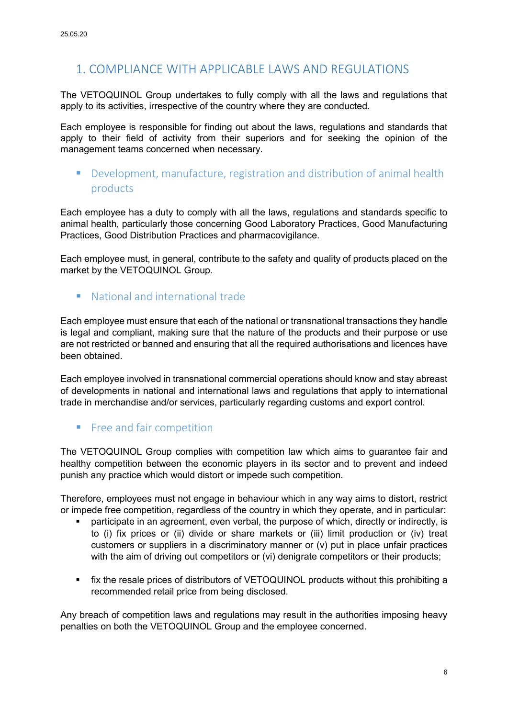# <span id="page-5-0"></span>1. COMPLIANCE WITH APPLICABLE LAWS AND REGULATIONS

The VETOQUINOL Group undertakes to fully comply with all the laws and regulations that apply to its activities, irrespective of the country where they are conducted.

Each employee is responsible for finding out about the laws, regulations and standards that apply to their field of activity from their superiors and for seeking the opinion of the management teams concerned when necessary.

■ Development, manufacture, registration and distribution of animal health products

Each employee has a duty to comply with all the laws, regulations and standards specific to animal health, particularly those concerning Good Laboratory Practices, Good Manufacturing Practices, Good Distribution Practices and pharmacovigilance.

Each employee must, in general, contribute to the safety and quality of products placed on the market by the VETOQUINOL Group.

**National and international trade** 

Each employee must ensure that each of the national or transnational transactions they handle is legal and compliant, making sure that the nature of the products and their purpose or use are not restricted or banned and ensuring that all the required authorisations and licences have been obtained.

Each employee involved in transnational commercial operations should know and stay abreast of developments in national and international laws and regulations that apply to international trade in merchandise and/or services, particularly regarding customs and export control.

**Filter** Free and fair competition

The VETOQUINOL Group complies with competition law which aims to guarantee fair and healthy competition between the economic players in its sector and to prevent and indeed punish any practice which would distort or impede such competition.

Therefore, employees must not engage in behaviour which in any way aims to distort, restrict or impede free competition, regardless of the country in which they operate, and in particular:

- participate in an agreement, even verbal, the purpose of which, directly or indirectly, is to (i) fix prices or (ii) divide or share markets or (iii) limit production or (iv) treat customers or suppliers in a discriminatory manner or (v) put in place unfair practices with the aim of driving out competitors or (vi) denigrate competitors or their products;
- fix the resale prices of distributors of VETOQUINOL products without this prohibiting a recommended retail price from being disclosed.

Any breach of competition laws and regulations may result in the authorities imposing heavy penalties on both the VETOQUINOL Group and the employee concerned.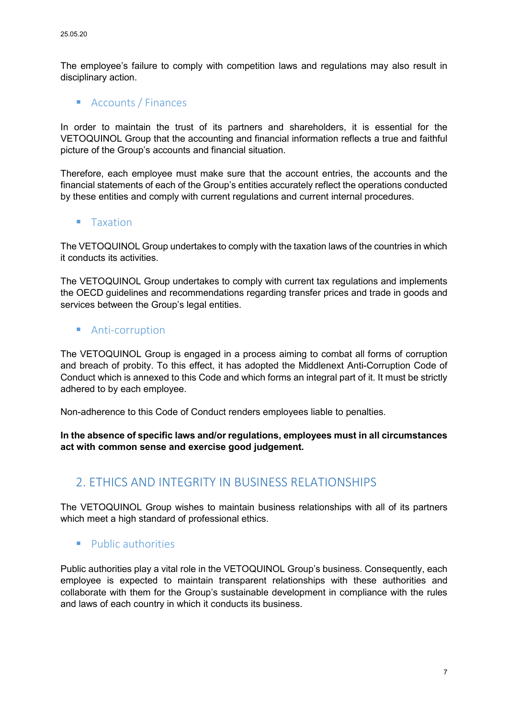The employee's failure to comply with competition laws and regulations may also result in disciplinary action.

#### **Accounts / Finances**

In order to maintain the trust of its partners and shareholders, it is essential for the VETOQUINOL Group that the accounting and financial information reflects a true and faithful picture of the Group's accounts and financial situation.

Therefore, each employee must make sure that the account entries, the accounts and the financial statements of each of the Group's entities accurately reflect the operations conducted by these entities and comply with current regulations and current internal procedures.

#### **Taxation**

The VETOQUINOL Group undertakes to comply with the taxation laws of the countries in which it conducts its activities.

The VETOQUINOL Group undertakes to comply with current tax regulations and implements the OECD guidelines and recommendations regarding transfer prices and trade in goods and services between the Group's legal entities.

#### **Anti-corruption**

The VETOQUINOL Group is engaged in a process aiming to combat all forms of corruption and breach of probity. To this effect, it has adopted the Middlenext Anti-Corruption Code of Conduct which is annexed to this Code and which forms an integral part of it. It must be strictly adhered to by each employee.

Non-adherence to this Code of Conduct renders employees liable to penalties.

**In the absence of specific laws and/or regulations, employees must in all circumstances act with common sense and exercise good judgement.**

# <span id="page-6-0"></span>2. ETHICS AND INTEGRITY IN BUSINESS RELATIONSHIPS

The VETOQUINOL Group wishes to maintain business relationships with all of its partners which meet a high standard of professional ethics.

#### **Public authorities**

Public authorities play a vital role in the VETOQUINOL Group's business. Consequently, each employee is expected to maintain transparent relationships with these authorities and collaborate with them for the Group's sustainable development in compliance with the rules and laws of each country in which it conducts its business.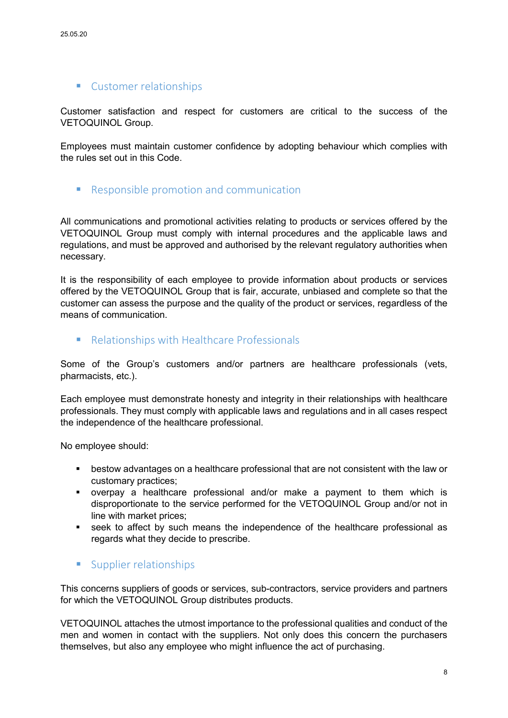#### **Customer relationships**

Customer satisfaction and respect for customers are critical to the success of the VETOQUINOL Group.

Employees must maintain customer confidence by adopting behaviour which complies with the rules set out in this Code.

■ Responsible promotion and communication

All communications and promotional activities relating to products or services offered by the VETOQUINOL Group must comply with internal procedures and the applicable laws and regulations, and must be approved and authorised by the relevant regulatory authorities when necessary.

It is the responsibility of each employee to provide information about products or services offered by the VETOQUINOL Group that is fair, accurate, unbiased and complete so that the customer can assess the purpose and the quality of the product or services, regardless of the means of communication.

■ Relationships with Healthcare Professionals

Some of the Group's customers and/or partners are healthcare professionals (vets, pharmacists, etc.).

Each employee must demonstrate honesty and integrity in their relationships with healthcare professionals. They must comply with applicable laws and regulations and in all cases respect the independence of the healthcare professional.

No employee should:

- bestow advantages on a healthcare professional that are not consistent with the law or customary practices;
- overpay a healthcare professional and/or make a payment to them which is disproportionate to the service performed for the VETOQUINOL Group and/or not in line with market prices;
- seek to affect by such means the independence of the healthcare professional as regards what they decide to prescribe.
- **Supplier relationships**

This concerns suppliers of goods or services, sub-contractors, service providers and partners for which the VETOQUINOL Group distributes products.

VETOQUINOL attaches the utmost importance to the professional qualities and conduct of the men and women in contact with the suppliers. Not only does this concern the purchasers themselves, but also any employee who might influence the act of purchasing.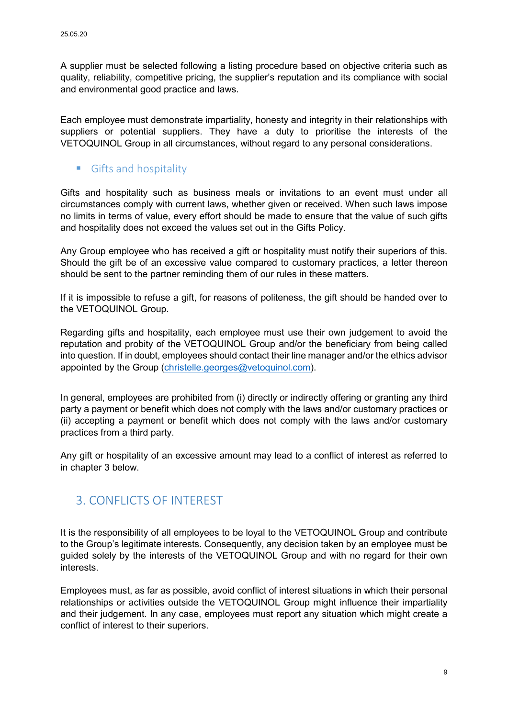A supplier must be selected following a listing procedure based on objective criteria such as quality, reliability, competitive pricing, the supplier's reputation and its compliance with social and environmental good practice and laws.

Each employee must demonstrate impartiality, honesty and integrity in their relationships with suppliers or potential suppliers. They have a duty to prioritise the interests of the VETOQUINOL Group in all circumstances, without regard to any personal considerations.

#### **Gifts and hospitality**

Gifts and hospitality such as business meals or invitations to an event must under all circumstances comply with current laws, whether given or received. When such laws impose no limits in terms of value, every effort should be made to ensure that the value of such gifts and hospitality does not exceed the values set out in the Gifts Policy.

Any Group employee who has received a gift or hospitality must notify their superiors of this. Should the gift be of an excessive value compared to customary practices, a letter thereon should be sent to the partner reminding them of our rules in these matters.

If it is impossible to refuse a gift, for reasons of politeness, the gift should be handed over to the VETOQUINOL Group.

Regarding gifts and hospitality, each employee must use their own judgement to avoid the reputation and probity of the VETOQUINOL Group and/or the beneficiary from being called into question. If in doubt, employees should contact their line manager and/or the ethics advisor appointed by the Group (christelle.george[s@vetoquinol.com\)](mailto:@vetoquinol.com).

In general, employees are prohibited from (i) directly or indirectly offering or granting any third party a payment or benefit which does not comply with the laws and/or customary practices or (ii) accepting a payment or benefit which does not comply with the laws and/or customary practices from a third party.

Any gift or hospitality of an excessive amount may lead to a conflict of interest as referred to in chapter 3 below.

# <span id="page-8-0"></span>3. CONFLICTS OF INTEREST

It is the responsibility of all employees to be loyal to the VETOQUINOL Group and contribute to the Group's legitimate interests. Consequently, any decision taken by an employee must be guided solely by the interests of the VETOQUINOL Group and with no regard for their own interests.

Employees must, as far as possible, avoid conflict of interest situations in which their personal relationships or activities outside the VETOQUINOL Group might influence their impartiality and their judgement. In any case, employees must report any situation which might create a conflict of interest to their superiors.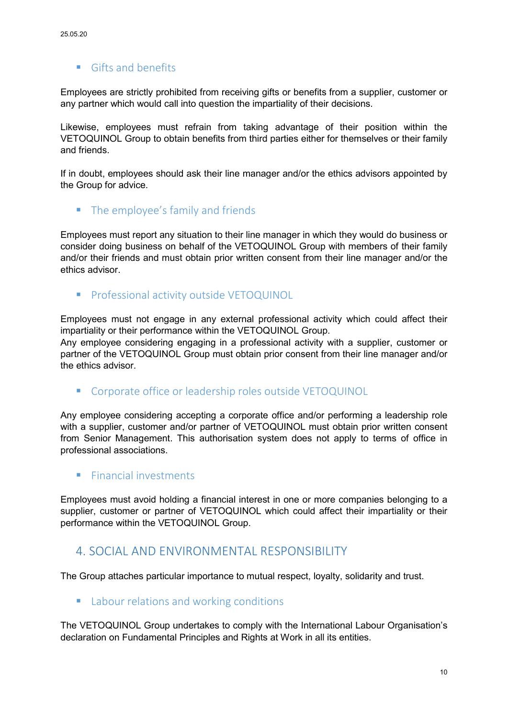#### Gifts and benefits

Employees are strictly prohibited from receiving gifts or benefits from a supplier, customer or any partner which would call into question the impartiality of their decisions.

Likewise, employees must refrain from taking advantage of their position within the VETOQUINOL Group to obtain benefits from third parties either for themselves or their family and friends.

If in doubt, employees should ask their line manager and/or the ethics advisors appointed by the Group for advice.

The employee's family and friends

Employees must report any situation to their line manager in which they would do business or consider doing business on behalf of the VETOQUINOL Group with members of their family and/or their friends and must obtain prior written consent from their line manager and/or the ethics advisor.

**Professional activity outside VETOQUINOL** 

Employees must not engage in any external professional activity which could affect their impartiality or their performance within the VETOQUINOL Group.

Any employee considering engaging in a professional activity with a supplier, customer or partner of the VETOQUINOL Group must obtain prior consent from their line manager and/or the ethics advisor.

**Corporate office or leadership roles outside VETOQUINOL** 

Any employee considering accepting a corporate office and/or performing a leadership role with a supplier, customer and/or partner of VETOQUINOL must obtain prior written consent from Senior Management. This authorisation system does not apply to terms of office in professional associations.

 $\blacksquare$  Financial investments

Employees must avoid holding a financial interest in one or more companies belonging to a supplier, customer or partner of VETOQUINOL which could affect their impartiality or their performance within the VETOQUINOL Group.

#### <span id="page-9-0"></span>4. SOCIAL AND ENVIRONMENTAL RESPONSIBILITY

The Group attaches particular importance to mutual respect, loyalty, solidarity and trust.

**Labour relations and working conditions** 

The VETOQUINOL Group undertakes to comply with the International Labour Organisation's declaration on Fundamental Principles and Rights at Work in all its entities.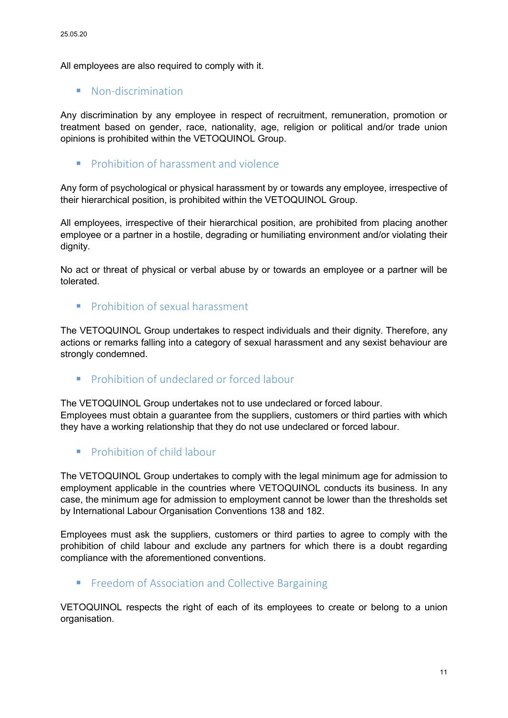All employees are also required to comply with it.

**Non-discrimination** 

Any discrimination by any employee in respect of recruitment, remuneration, promotion or treatment based on gender, race, nationality, age, religion or political and/or trade union opinions is prohibited within the VETOQUINOL Group.

**Prohibition of harassment and violence** 

Any form of psychological or physical harassment by or towards any employee, irrespective of their hierarchical position, is prohibited within the VETOQUINOL Group.

All employees, irrespective of their hierarchical position, are prohibited from placing another employee or a partner in a hostile, degrading or humiliating environment and/or violating their dignity.

No act or threat of physical or verbal abuse by or towards an employee or a partner will be tolerated.

**Prohibition of sexual harassment** 

The VETOQUINOL Group undertakes to respect individuals and their dignity. Therefore, any actions or remarks falling into a category of sexual harassment and any sexist behaviour are strongly condemned.

**Prohibition of undeclared or forced labour** 

The VETOQUINOL Group undertakes not to use undeclared or forced labour. Employees must obtain a guarantee from the suppliers, customers or third parties with which they have a working relationship that they do not use undeclared or forced labour.

**Prohibition of child labour** 

The VETOQUINOL Group undertakes to comply with the legal minimum age for admission to employment applicable in the countries where VETOQUINOL conducts its business. In any case, the minimum age for admission to employment cannot be lower than the thresholds set by International Labour Organisation Conventions 138 and 182.

Employees must ask the suppliers, customers or third parties to agree to comply with the prohibition of child labour and exclude any partners for which there is a doubt regarding compliance with the aforementioned conventions.

**FIGURE 1** Freedom of Association and Collective Bargaining

VETOQUINOL respects the right of each of its employees to create or belong to a union organisation.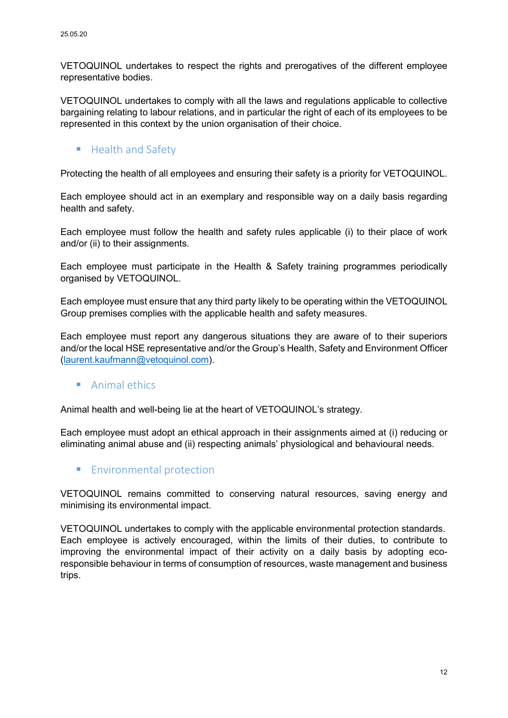VETOQUINOL undertakes to respect the rights and prerogatives of the different employee representative bodies.

VETOQUINOL undertakes to comply with all the laws and regulations applicable to collective bargaining relating to labour relations, and in particular the right of each of its employees to be represented in this context by the union organisation of their choice.

#### **Health and Safety**

Protecting the health of all employees and ensuring their safety is a priority for VETOQUINOL.

Each employee should act in an exemplary and responsible way on a daily basis regarding health and safety.

Each employee must follow the health and safety rules applicable (i) to their place of work and/or (ii) to their assignments.

Each employee must participate in the Health & Safety training programmes periodically organised by VETOQUINOL.

Each employee must ensure that any third party likely to be operating within the VETOQUINOL Group premises complies with the applicable health and safety measures.

Each employee must report any dangerous situations they are aware of to their superiors and/or the local HSE representative and/or the Group's Health, Safety and Environment Officer (laurent.kaufmann@vetoquinol.com).

#### **Animal ethics**

Animal health and well-being lie at the heart of VETOQUINOL's strategy.

Each employee must adopt an ethical approach in their assignments aimed at (i) reducing or eliminating animal abuse and (ii) respecting animals' physiological and behavioural needs.

**Environmental protection** 

VETOQUINOL remains committed to conserving natural resources, saving energy and minimising its environmental impact.

VETOQUINOL undertakes to comply with the applicable environmental protection standards. Each employee is actively encouraged, within the limits of their duties, to contribute to improving the environmental impact of their activity on a daily basis by adopting ecoresponsible behaviour in terms of consumption of resources, waste management and business trips.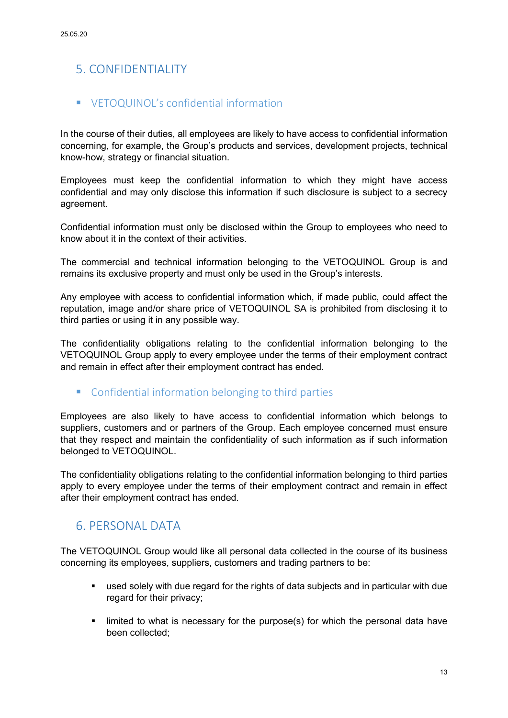# <span id="page-12-0"></span>5. CONFIDENTIALITY

### VETOQUINOL's confidential information

In the course of their duties, all employees are likely to have access to confidential information concerning, for example, the Group's products and services, development projects, technical know-how, strategy or financial situation.

Employees must keep the confidential information to which they might have access confidential and may only disclose this information if such disclosure is subject to a secrecy agreement.

Confidential information must only be disclosed within the Group to employees who need to know about it in the context of their activities.

The commercial and technical information belonging to the VETOQUINOL Group is and remains its exclusive property and must only be used in the Group's interests.

Any employee with access to confidential information which, if made public, could affect the reputation, image and/or share price of VETOQUINOL SA is prohibited from disclosing it to third parties or using it in any possible way.

The confidentiality obligations relating to the confidential information belonging to the VETOQUINOL Group apply to every employee under the terms of their employment contract and remain in effect after their employment contract has ended.

■ Confidential information belonging to third parties

Employees are also likely to have access to confidential information which belongs to suppliers, customers and or partners of the Group. Each employee concerned must ensure that they respect and maintain the confidentiality of such information as if such information belonged to VETOQUINOL.

The confidentiality obligations relating to the confidential information belonging to third parties apply to every employee under the terms of their employment contract and remain in effect after their employment contract has ended.

### <span id="page-12-1"></span>6. PERSONAL DATA

The VETOQUINOL Group would like all personal data collected in the course of its business concerning its employees, suppliers, customers and trading partners to be:

- used solely with due regard for the rights of data subjects and in particular with due regard for their privacy;
- $\blacksquare$  limited to what is necessary for the purpose(s) for which the personal data have been collected;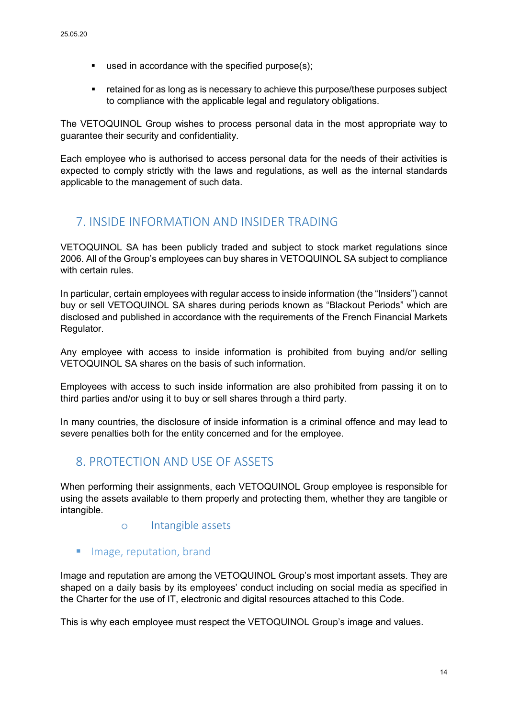- used in accordance with the specified purpose(s);
- retained for as long as is necessary to achieve this purpose/these purposes subject to compliance with the applicable legal and regulatory obligations.

The VETOQUINOL Group wishes to process personal data in the most appropriate way to guarantee their security and confidentiality.

Each employee who is authorised to access personal data for the needs of their activities is expected to comply strictly with the laws and regulations, as well as the internal standards applicable to the management of such data.

### <span id="page-13-0"></span>7. INSIDE INFORMATION AND INSIDER TRADING

VETOQUINOL SA has been publicly traded and subject to stock market regulations since 2006. All of the Group's employees can buy shares in VETOQUINOL SA subject to compliance with certain rules.

In particular, certain employees with regular access to inside information (the "Insiders") cannot buy or sell VETOQUINOL SA shares during periods known as "Blackout Periods" which are disclosed and published in accordance with the requirements of the French Financial Markets Regulator.

Any employee with access to inside information is prohibited from buying and/or selling VETOQUINOL SA shares on the basis of such information.

Employees with access to such inside information are also prohibited from passing it on to third parties and/or using it to buy or sell shares through a third party.

In many countries, the disclosure of inside information is a criminal offence and may lead to severe penalties both for the entity concerned and for the employee.

### <span id="page-13-1"></span>8. PROTECTION AND USE OF ASSETS

<span id="page-13-2"></span>When performing their assignments, each VETOQUINOL Group employee is responsible for using the assets available to them properly and protecting them, whether they are tangible or intangible.

#### o Intangible assets

**Image, reputation, brand** 

Image and reputation are among the VETOQUINOL Group's most important assets. They are shaped on a daily basis by its employees' conduct including on social media as specified in the Charter for the use of IT, electronic and digital resources attached to this Code.

This is why each employee must respect the VETOQUINOL Group's image and values.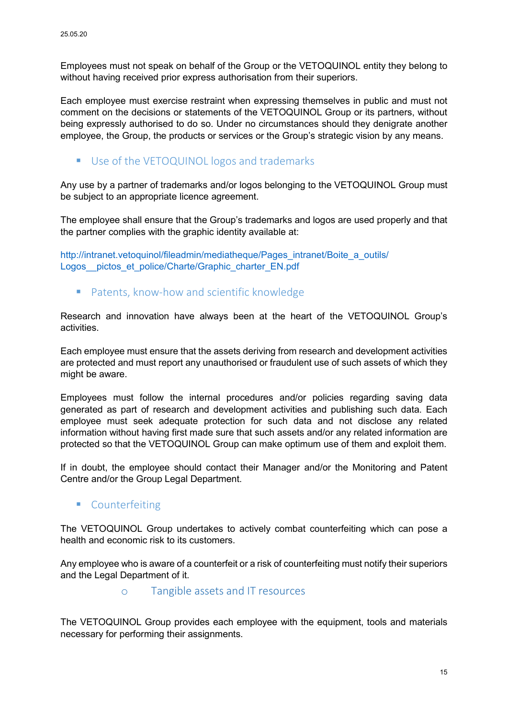Employees must not speak on behalf of the Group or the VETOQUINOL entity they belong to without having received prior express authorisation from their superiors.

Each employee must exercise restraint when expressing themselves in public and must not comment on the decisions or statements of the VETOQUINOL Group or its partners, without being expressly authorised to do so. Under no circumstances should they denigrate another employee, the Group, the products or services or the Group's strategic vision by any means.

Use of the VETOQUINOL logos and trademarks

Any use by a partner of trademarks and/or logos belonging to the VETOQUINOL Group must be subject to an appropriate licence agreement.

The employee shall ensure that the Group's trademarks and logos are used properly and that the partner complies with the graphic identity available at:

[http://intranet.vetoquinol/fileadmin/mediatheque/Pages\\_intranet/Boite\\_a\\_outils/](http://intranet.vetoquinol/fileadmin/mediatheque/Pages_intranet/Boite_a_outils/Logos__pictos_et_police/Charte/Graphic_charter_EN.pdf) Logos pictos et police/Charte/Graphic charter EN.pdf

**Patents, know-how and scientific knowledge** 

Research and innovation have always been at the heart of the VETOQUINOL Group's activities.

Each employee must ensure that the assets deriving from research and development activities are protected and must report any unauthorised or fraudulent use of such assets of which they might be aware.

Employees must follow the internal procedures and/or policies regarding saving data generated as part of research and development activities and publishing such data. Each employee must seek adequate protection for such data and not disclose any related information without having first made sure that such assets and/or any related information are protected so that the VETOQUINOL Group can make optimum use of them and exploit them.

If in doubt, the employee should contact their Manager and/or the Monitoring and Patent Centre and/or the Group Legal Department.

#### **Counterfeiting**

The VETOQUINOL Group undertakes to actively combat counterfeiting which can pose a health and economic risk to its customers.

<span id="page-14-0"></span>Any employee who is aware of a counterfeit or a risk of counterfeiting must notify their superiors and the Legal Department of it.

#### o Tangible assets and IT resources

The VETOQUINOL Group provides each employee with the equipment, tools and materials necessary for performing their assignments.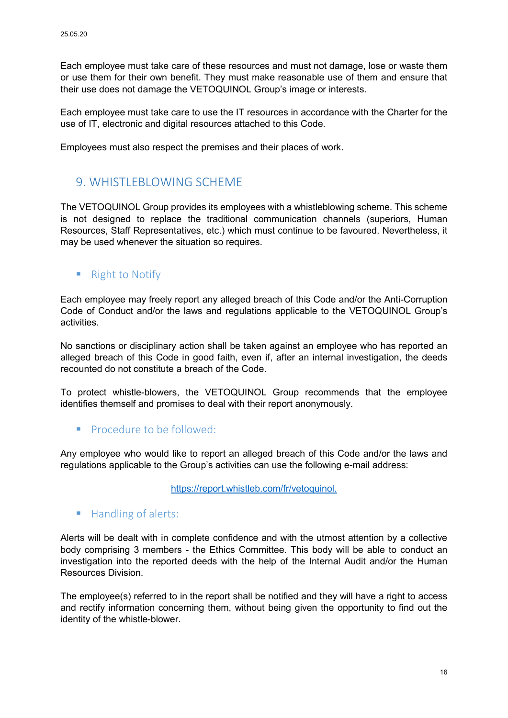Each employee must take care of these resources and must not damage, lose or waste them or use them for their own benefit. They must make reasonable use of them and ensure that their use does not damage the VETOQUINOL Group's image or interests.

Each employee must take care to use the IT resources in accordance with the Charter for the use of IT, electronic and digital resources attached to this Code.

Employees must also respect the premises and their places of work.

## <span id="page-15-0"></span>9. WHISTLEBLOWING SCHEME

The VETOQUINOL Group provides its employees with a whistleblowing scheme. This scheme is not designed to replace the traditional communication channels (superiors, Human Resources, Staff Representatives, etc.) which must continue to be favoured. Nevertheless, it may be used whenever the situation so requires.

#### ■ Right to Notify

Each employee may freely report any alleged breach of this Code and/or the Anti-Corruption Code of Conduct and/or the laws and regulations applicable to the VETOQUINOL Group's activities.

No sanctions or disciplinary action shall be taken against an employee who has reported an alleged breach of this Code in good faith, even if, after an internal investigation, the deeds recounted do not constitute a breach of the Code.

To protect whistle-blowers, the VETOQUINOL Group recommends that the employee identifies themself and promises to deal with their report anonymously.

**Procedure to be followed:** 

Any employee who would like to report an alleged breach of this Code and/or the laws and regulations applicable to the Group's activities can use the following e-mail address:

[https://report.whistleb.com/fr/vetoquinol.](https://report.whistleb.com/fr/vetoquinol)

#### **Handling of alerts:**

Alerts will be dealt with in complete confidence and with the utmost attention by a collective body comprising 3 members - the Ethics Committee. This body will be able to conduct an investigation into the reported deeds with the help of the Internal Audit and/or the Human Resources Division.

The employee(s) referred to in the report shall be notified and they will have a right to access and rectify information concerning them, without being given the opportunity to find out the identity of the whistle-blower.